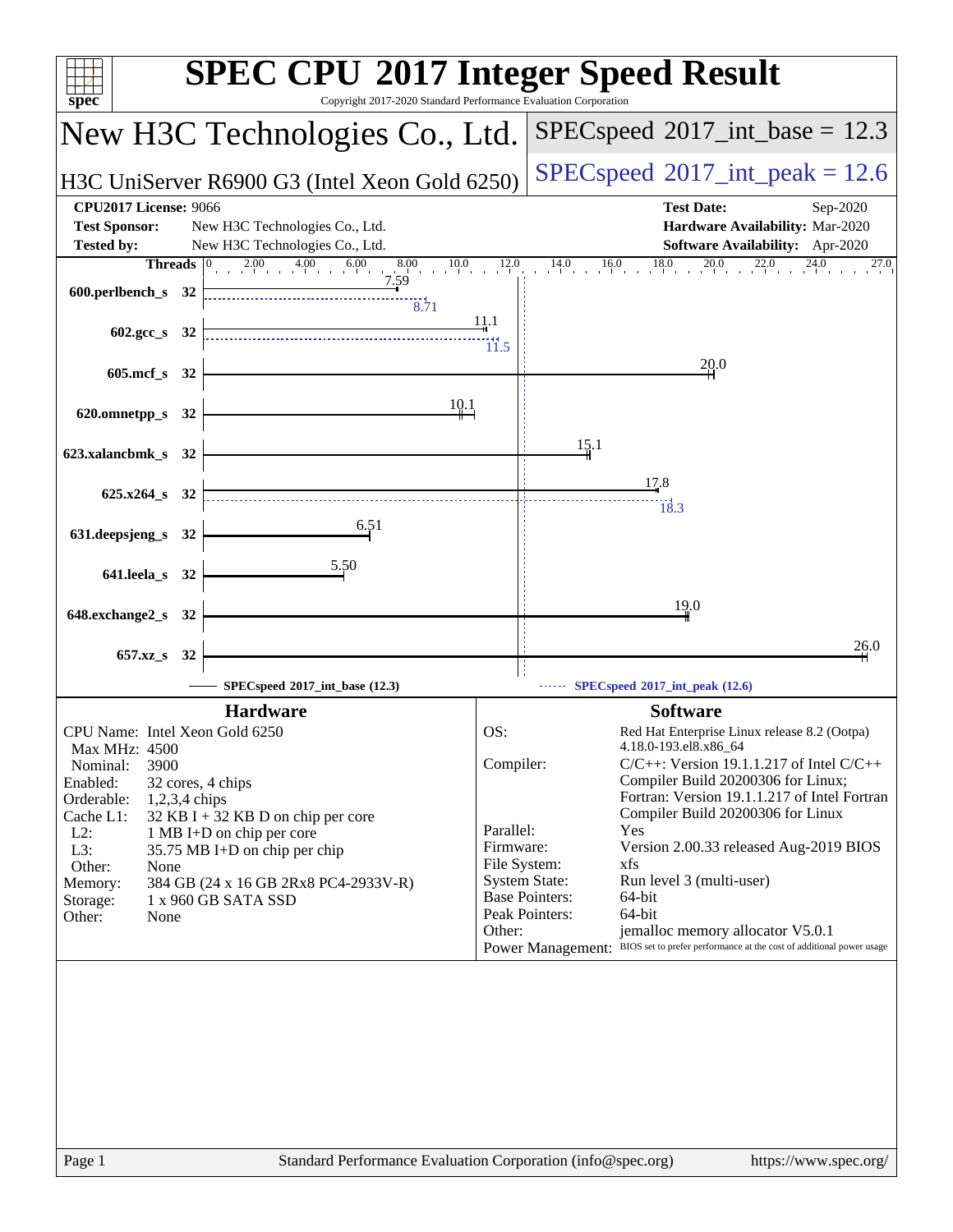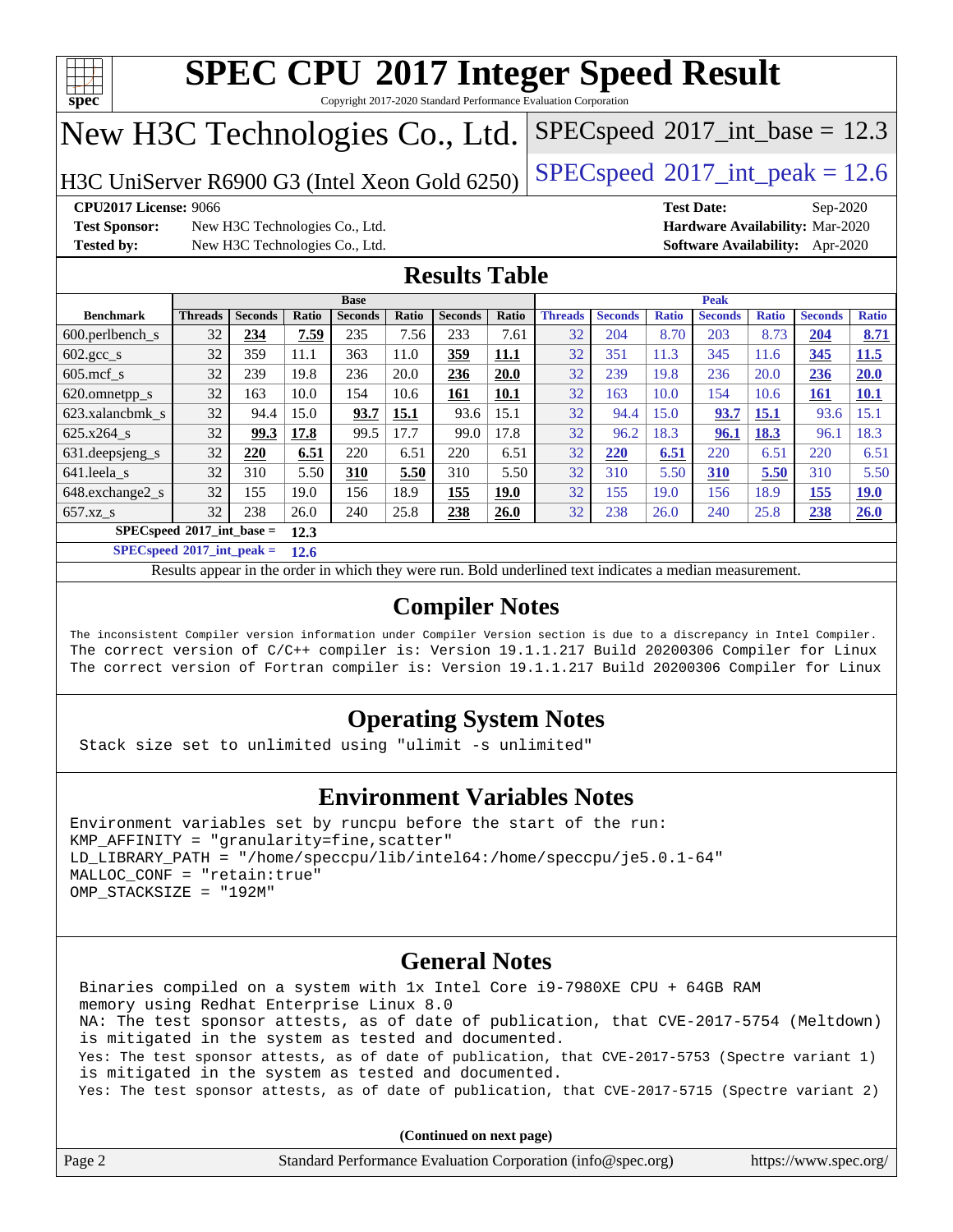

Copyright 2017-2020 Standard Performance Evaluation Corporation

## New H3C Technologies Co., Ltd.

H3C UniServer R6900 G3 (Intel Xeon Gold 6250) [SPECspeed](http://www.spec.org/auto/cpu2017/Docs/result-fields.html#SPECspeed2017intpeak)®[2017\\_int\\_peak = 1](http://www.spec.org/auto/cpu2017/Docs/result-fields.html#SPECspeed2017intpeak)2.6

 $SPECspeed^{\circ}2017\_int\_base = 12.3$  $SPECspeed^{\circ}2017\_int\_base = 12.3$ 

**[Test Sponsor:](http://www.spec.org/auto/cpu2017/Docs/result-fields.html#TestSponsor)** New H3C Technologies Co., Ltd. **[Hardware Availability:](http://www.spec.org/auto/cpu2017/Docs/result-fields.html#HardwareAvailability)** Mar-2020 **[Tested by:](http://www.spec.org/auto/cpu2017/Docs/result-fields.html#Testedby)** New H3C Technologies Co., Ltd. **[Software Availability:](http://www.spec.org/auto/cpu2017/Docs/result-fields.html#SoftwareAvailability)** Apr-2020

**[CPU2017 License:](http://www.spec.org/auto/cpu2017/Docs/result-fields.html#CPU2017License)** 9066 **[Test Date:](http://www.spec.org/auto/cpu2017/Docs/result-fields.html#TestDate)** Sep-2020

## **[Results Table](http://www.spec.org/auto/cpu2017/Docs/result-fields.html#ResultsTable)**

|                                     | <b>Base</b>    |                |       |                |       |                | <b>Peak</b>  |                |                |              |                |              |                |              |
|-------------------------------------|----------------|----------------|-------|----------------|-------|----------------|--------------|----------------|----------------|--------------|----------------|--------------|----------------|--------------|
| <b>Benchmark</b>                    | <b>Threads</b> | <b>Seconds</b> | Ratio | <b>Seconds</b> | Ratio | <b>Seconds</b> | <b>Ratio</b> | <b>Threads</b> | <b>Seconds</b> | <b>Ratio</b> | <b>Seconds</b> | <b>Ratio</b> | <b>Seconds</b> | <b>Ratio</b> |
| $600.$ perlbench s                  | 32             | 234            | 7.59  | 235            | 7.56  | 233            | 7.61         | 32             | 204            | 8.70         | 203            | 8.73         | 204            | 8.71         |
| $602.\text{gcc}\_\text{s}$          | 32             | 359            | 11.1  | 363            | 11.0  | 359            | <u>11.1</u>  | 32             | 351            | 11.3         | 345            | 11.6         | <u>345</u>     | 11.5         |
| $605$ .mcf s                        | 32             | 239            | 19.8  | 236            | 20.0  | 236            | 20.0         | 32             | 239            | 19.8         | 236            | 20.0         | 236            | 20.0         |
| 620.omnetpp_s                       | 32             | 163            | 10.0  | 154            | 10.6  | <u>161</u>     | 10.1         | 32             | 163            | 10.0         | 154            | 10.6         | <u>161</u>     | 10.1         |
| 623.xalancbmk s                     | 32             | 94.4           | 15.0  | 93.7           | 15.1  | 93.6           | 15.1         | 32             | 94.4           | 15.0         | 93.7           | <u>15.1</u>  | 93.6           | 15.1         |
| 625.x264 s                          | 32             | 99.3           | 17.8  | 99.5           | 17.7  | 99.0           | 17.8         | 32             | 96.2           | 18.3         | 96.1           | 18.3         | 96.1           | 18.3         |
| 631.deepsjeng_s                     | 32             | 220            | 6.51  | 220            | 6.51  | 220            | 6.51         | 32             | 220            | 6.51         | 220            | 6.51         | 220            | 6.51         |
| 641.leela s                         | 32             | 310            | 5.50  | 310            | 5.50  | 310            | 5.50         | 32             | 310            | 5.50         | 310            | 5.50         | 310            | 5.50         |
| $648$ . exchange $2 \text{ s}$      | 32             | 155            | 19.0  | 156            | 18.9  | 155            | <u>19.0</u>  | 32             | 155            | 19.0         | 156            | 18.9         | 155            | <u>19.0</u>  |
| $657.xz$ s                          | 32             | 238            | 26.0  | 240            | 25.8  | 238            | 26.0         | 32             | 238            | 26.0         | 240            | 25.8         | 238            | 26.0         |
| $SPECspeed*2017$ int base =<br>12.3 |                |                |       |                |       |                |              |                |                |              |                |              |                |              |

**[SPECspeed](http://www.spec.org/auto/cpu2017/Docs/result-fields.html#SPECspeed2017intpeak)[2017\\_int\\_peak =](http://www.spec.org/auto/cpu2017/Docs/result-fields.html#SPECspeed2017intpeak) 12.6**

Results appear in the [order in which they were run.](http://www.spec.org/auto/cpu2017/Docs/result-fields.html#RunOrder) Bold underlined text [indicates a median measurement](http://www.spec.org/auto/cpu2017/Docs/result-fields.html#Median).

## **[Compiler Notes](http://www.spec.org/auto/cpu2017/Docs/result-fields.html#CompilerNotes)**

The inconsistent Compiler version information under Compiler Version section is due to a discrepancy in Intel Compiler. The correct version of C/C++ compiler is: Version 19.1.1.217 Build 20200306 Compiler for Linux The correct version of Fortran compiler is: Version 19.1.1.217 Build 20200306 Compiler for Linux

## **[Operating System Notes](http://www.spec.org/auto/cpu2017/Docs/result-fields.html#OperatingSystemNotes)**

Stack size set to unlimited using "ulimit -s unlimited"

### **[Environment Variables Notes](http://www.spec.org/auto/cpu2017/Docs/result-fields.html#EnvironmentVariablesNotes)**

```
Environment variables set by runcpu before the start of the run:
KMP AFFINITY = "granularity=fine, scatter"
LD_LIBRARY_PATH = "/home/speccpu/lib/intel64:/home/speccpu/je5.0.1-64"
MALLOC_CONF = "retain:true"
OMP_STACKSIZE = "192M"
```
### **[General Notes](http://www.spec.org/auto/cpu2017/Docs/result-fields.html#GeneralNotes)**

 Binaries compiled on a system with 1x Intel Core i9-7980XE CPU + 64GB RAM memory using Redhat Enterprise Linux 8.0 NA: The test sponsor attests, as of date of publication, that CVE-2017-5754 (Meltdown) is mitigated in the system as tested and documented. Yes: The test sponsor attests, as of date of publication, that CVE-2017-5753 (Spectre variant 1) is mitigated in the system as tested and documented. Yes: The test sponsor attests, as of date of publication, that CVE-2017-5715 (Spectre variant 2)

| Page 2 | Standard Performance Evaluation Corporation (info@spec.org) | https://www.spec.org/ |
|--------|-------------------------------------------------------------|-----------------------|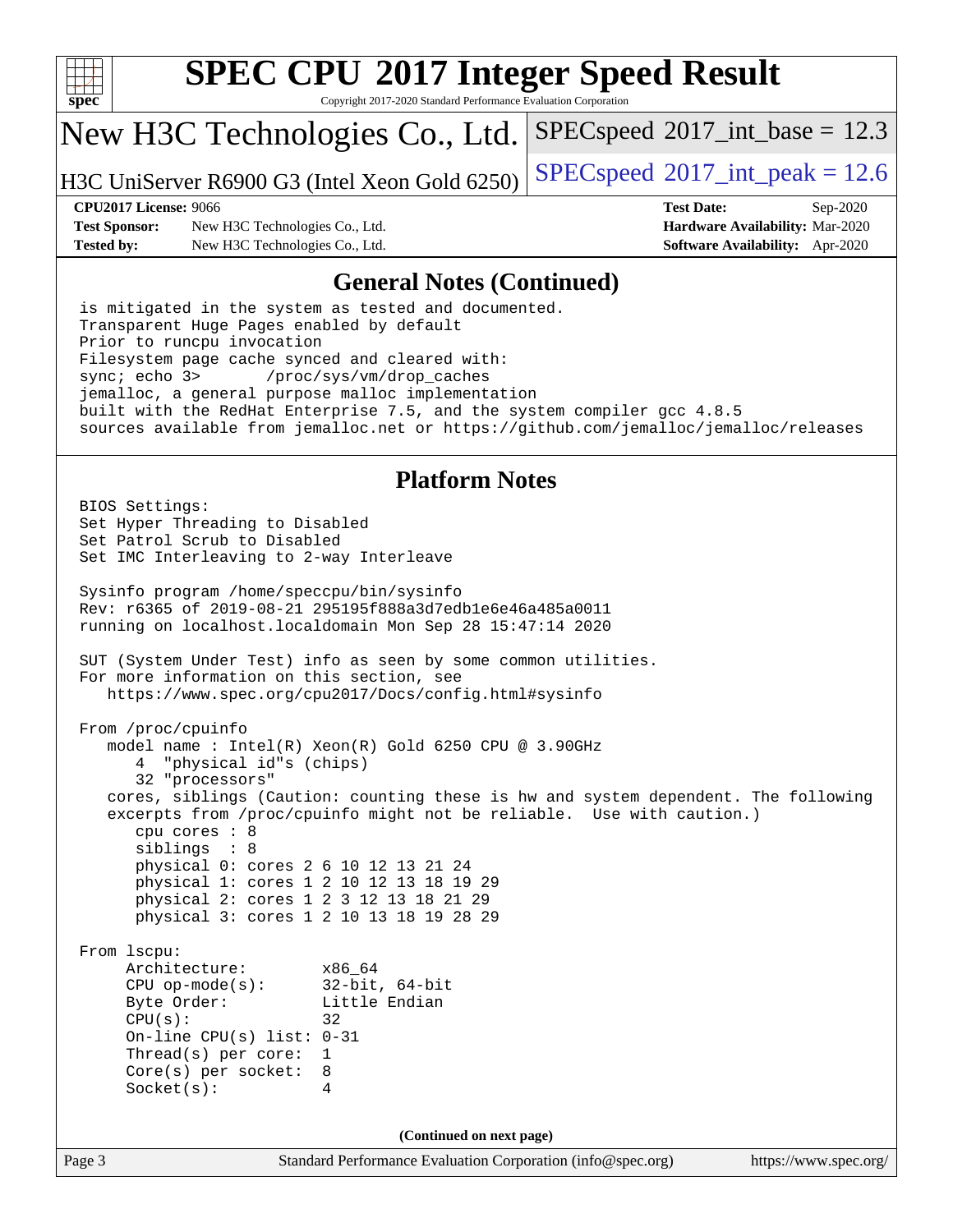

Copyright 2017-2020 Standard Performance Evaluation Corporation

## New H3C Technologies Co., Ltd.

H3C UniServer R6900 G3 (Intel Xeon Gold 6250) [SPECspeed](http://www.spec.org/auto/cpu2017/Docs/result-fields.html#SPECspeed2017intpeak)®[2017\\_int\\_peak = 1](http://www.spec.org/auto/cpu2017/Docs/result-fields.html#SPECspeed2017intpeak)2.6

 $SPECspeed^{\circ}2017\_int\_base = 12.3$  $SPECspeed^{\circ}2017\_int\_base = 12.3$ 

**[Test Sponsor:](http://www.spec.org/auto/cpu2017/Docs/result-fields.html#TestSponsor)** New H3C Technologies Co., Ltd. **[Hardware Availability:](http://www.spec.org/auto/cpu2017/Docs/result-fields.html#HardwareAvailability)** Mar-2020 **[Tested by:](http://www.spec.org/auto/cpu2017/Docs/result-fields.html#Testedby)** New H3C Technologies Co., Ltd. **[Software Availability:](http://www.spec.org/auto/cpu2017/Docs/result-fields.html#SoftwareAvailability)** Apr-2020

**[CPU2017 License:](http://www.spec.org/auto/cpu2017/Docs/result-fields.html#CPU2017License)** 9066 **[Test Date:](http://www.spec.org/auto/cpu2017/Docs/result-fields.html#TestDate)** Sep-2020

### **[General Notes \(Continued\)](http://www.spec.org/auto/cpu2017/Docs/result-fields.html#GeneralNotes)**

 is mitigated in the system as tested and documented. Transparent Huge Pages enabled by default Prior to runcpu invocation Filesystem page cache synced and cleared with: sync; echo 3> /proc/sys/vm/drop\_caches jemalloc, a general purpose malloc implementation built with the RedHat Enterprise 7.5, and the system compiler gcc 4.8.5 sources available from jemalloc.net or <https://github.com/jemalloc/jemalloc/releases>

### **[Platform Notes](http://www.spec.org/auto/cpu2017/Docs/result-fields.html#PlatformNotes)**

Page 3 Standard Performance Evaluation Corporation [\(info@spec.org\)](mailto:info@spec.org) <https://www.spec.org/> BIOS Settings: Set Hyper Threading to Disabled Set Patrol Scrub to Disabled Set IMC Interleaving to 2-way Interleave Sysinfo program /home/speccpu/bin/sysinfo Rev: r6365 of 2019-08-21 295195f888a3d7edb1e6e46a485a0011 running on localhost.localdomain Mon Sep 28 15:47:14 2020 SUT (System Under Test) info as seen by some common utilities. For more information on this section, see <https://www.spec.org/cpu2017/Docs/config.html#sysinfo> From /proc/cpuinfo model name : Intel(R) Xeon(R) Gold 6250 CPU @ 3.90GHz 4 "physical id"s (chips) 32 "processors" cores, siblings (Caution: counting these is hw and system dependent. The following excerpts from /proc/cpuinfo might not be reliable. Use with caution.) cpu cores : 8 siblings : 8 physical 0: cores 2 6 10 12 13 21 24 physical 1: cores 1 2 10 12 13 18 19 29 physical 2: cores 1 2 3 12 13 18 21 29 physical 3: cores 1 2 10 13 18 19 28 29 From lscpu: Architecture: x86\_64 CPU op-mode(s): 32-bit, 64-bit Byte Order: Little Endian  $CPU(s):$  32 On-line CPU(s) list: 0-31 Thread(s) per core: 1 Core(s) per socket: 8 Socket(s): 4 **(Continued on next page)**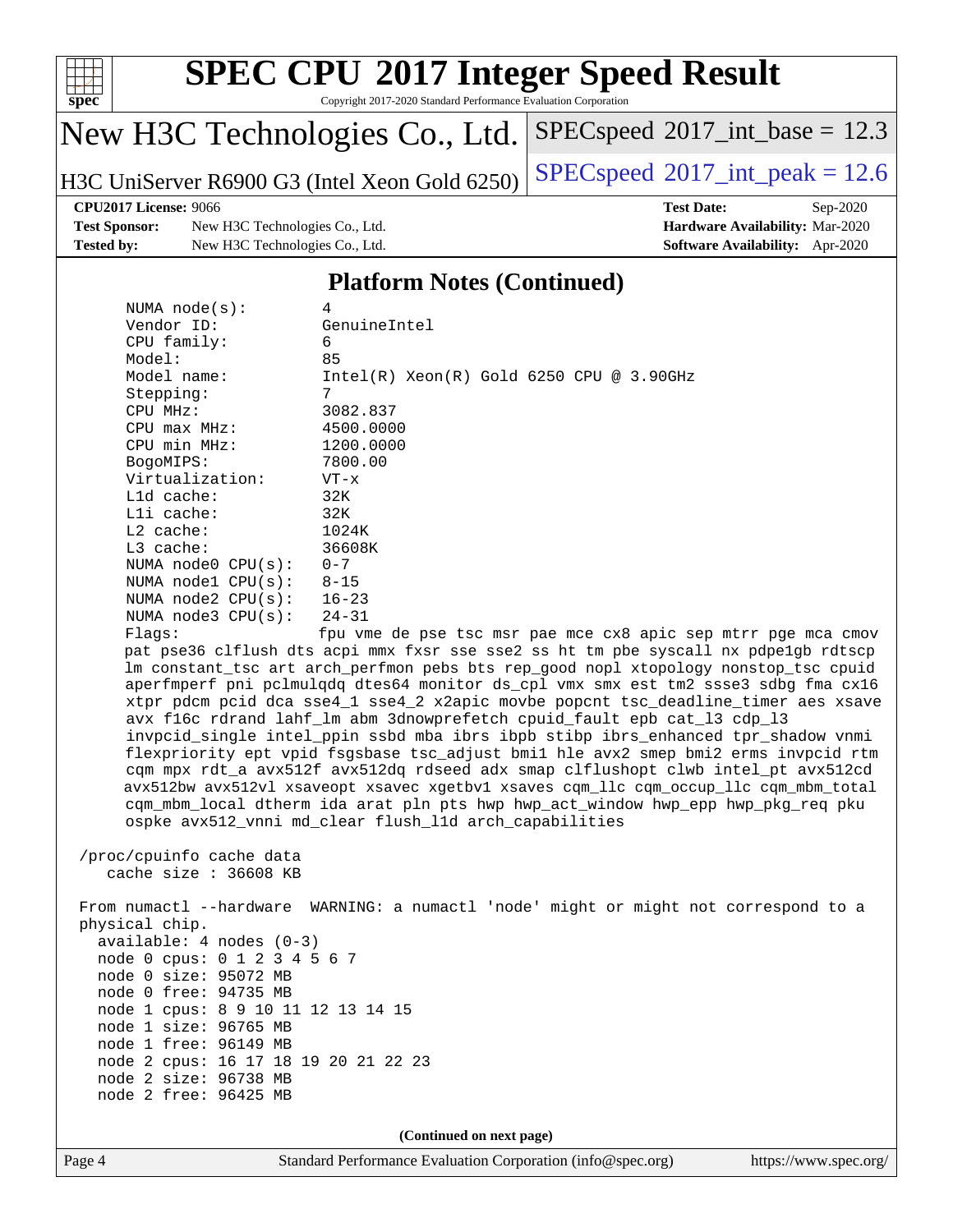

Copyright 2017-2020 Standard Performance Evaluation Corporation

## New H3C Technologies Co., Ltd.

H3C UniServer R6900 G3 (Intel Xeon Gold 6250) [SPECspeed](http://www.spec.org/auto/cpu2017/Docs/result-fields.html#SPECspeed2017intpeak)®[2017\\_int\\_peak = 1](http://www.spec.org/auto/cpu2017/Docs/result-fields.html#SPECspeed2017intpeak)2.6

 $SPECspeed^{\circ}2017\_int\_base = 12.3$  $SPECspeed^{\circ}2017\_int\_base = 12.3$ 

### **[CPU2017 License:](http://www.spec.org/auto/cpu2017/Docs/result-fields.html#CPU2017License)** 9066 **[Test Date:](http://www.spec.org/auto/cpu2017/Docs/result-fields.html#TestDate)** Sep-2020

**[Test Sponsor:](http://www.spec.org/auto/cpu2017/Docs/result-fields.html#TestSponsor)** New H3C Technologies Co., Ltd. **[Hardware Availability:](http://www.spec.org/auto/cpu2017/Docs/result-fields.html#HardwareAvailability)** Mar-2020 **[Tested by:](http://www.spec.org/auto/cpu2017/Docs/result-fields.html#Testedby)** New H3C Technologies Co., Ltd. **[Software Availability:](http://www.spec.org/auto/cpu2017/Docs/result-fields.html#SoftwareAvailability)** Apr-2020

### **[Platform Notes \(Continued\)](http://www.spec.org/auto/cpu2017/Docs/result-fields.html#PlatformNotes)**

| NUMA $node(s)$ :       | 4                                                                                   |
|------------------------|-------------------------------------------------------------------------------------|
| Vendor ID:             | GenuineIntel                                                                        |
| $CPU$ family:          | 6                                                                                   |
| Model:                 | 85                                                                                  |
| Model name:            | $Intel(R)$ Xeon $(R)$ Gold 6250 CPU @ 3.90GHz                                       |
| Stepping:              | 7                                                                                   |
| CPU MHz:               | 3082.837                                                                            |
| $CPU$ max $MHz$ :      | 4500.0000                                                                           |
| CPU min MHz:           | 1200.0000                                                                           |
| BogoMIPS:              | 7800.00                                                                             |
| Virtualization:        | $VT - x$                                                                            |
| $L1d$ cache:           | 32K                                                                                 |
| Lli cache:             | 32K                                                                                 |
| $L2$ cache:            | 1024K                                                                               |
| $L3$ cache:            | 36608K                                                                              |
| NUMA $node0$ $CPU(s):$ | $0 - 7$                                                                             |
| NUMA $node1$ $CPU(s):$ | $8 - 15$                                                                            |
| NUMA $node2$ $CPU(s):$ | $16 - 23$                                                                           |
| NUMA $node3$ $CPU(s):$ | $24 - 31$                                                                           |
| Flaqs:                 | fpu vme de pse tsc msr pae mce cx8 apic sep mtrr pge mca cmov                       |
|                        | pat pse36 clflush dts acpi mmx fxsr sse sse2 ss ht tm pbe syscall nx pdpe1qb rdtscp |
|                        | Im constant tsc art arch perfmon pebs bts rep good nopl xtopology nonstop tsc cpuid |
|                        | aperfmperf pni pclmulqdq dtes64 monitor ds_cpl vmx smx est tm2 ssse3 sdbg fma cx16  |
|                        | xtpr pdcm pcid dca sse4 1 sse4 2 x2apic movbe popcnt tsc deadline timer aes xsave   |

 avx f16c rdrand lahf\_lm abm 3dnowprefetch cpuid\_fault epb cat\_l3 cdp\_l3 invpcid\_single intel\_ppin ssbd mba ibrs ibpb stibp ibrs\_enhanced tpr\_shadow vnmi flexpriority ept vpid fsgsbase tsc\_adjust bmi1 hle avx2 smep bmi2 erms invpcid rtm cqm mpx rdt\_a avx512f avx512dq rdseed adx smap clflushopt clwb intel\_pt avx512cd avx512bw avx512vl xsaveopt xsavec xgetbv1 xsaves cqm\_llc cqm\_occup\_llc cqm\_mbm\_total cqm\_mbm\_local dtherm ida arat pln pts hwp hwp\_act\_window hwp\_epp hwp\_pkg\_req pku ospke avx512\_vnni md\_clear flush\_l1d arch\_capabilities

 /proc/cpuinfo cache data cache size : 36608 KB

 From numactl --hardware WARNING: a numactl 'node' might or might not correspond to a physical chip. available: 4 nodes (0-3) node 0 cpus: 0 1 2 3 4 5 6 7 node 0 size: 95072 MB node 0 free: 94735 MB node 1 cpus: 8 9 10 11 12 13 14 15 node 1 size: 96765 MB node 1 free: 96149 MB node 2 cpus: 16 17 18 19 20 21 22 23 node 2 size: 96738 MB node 2 free: 96425 MB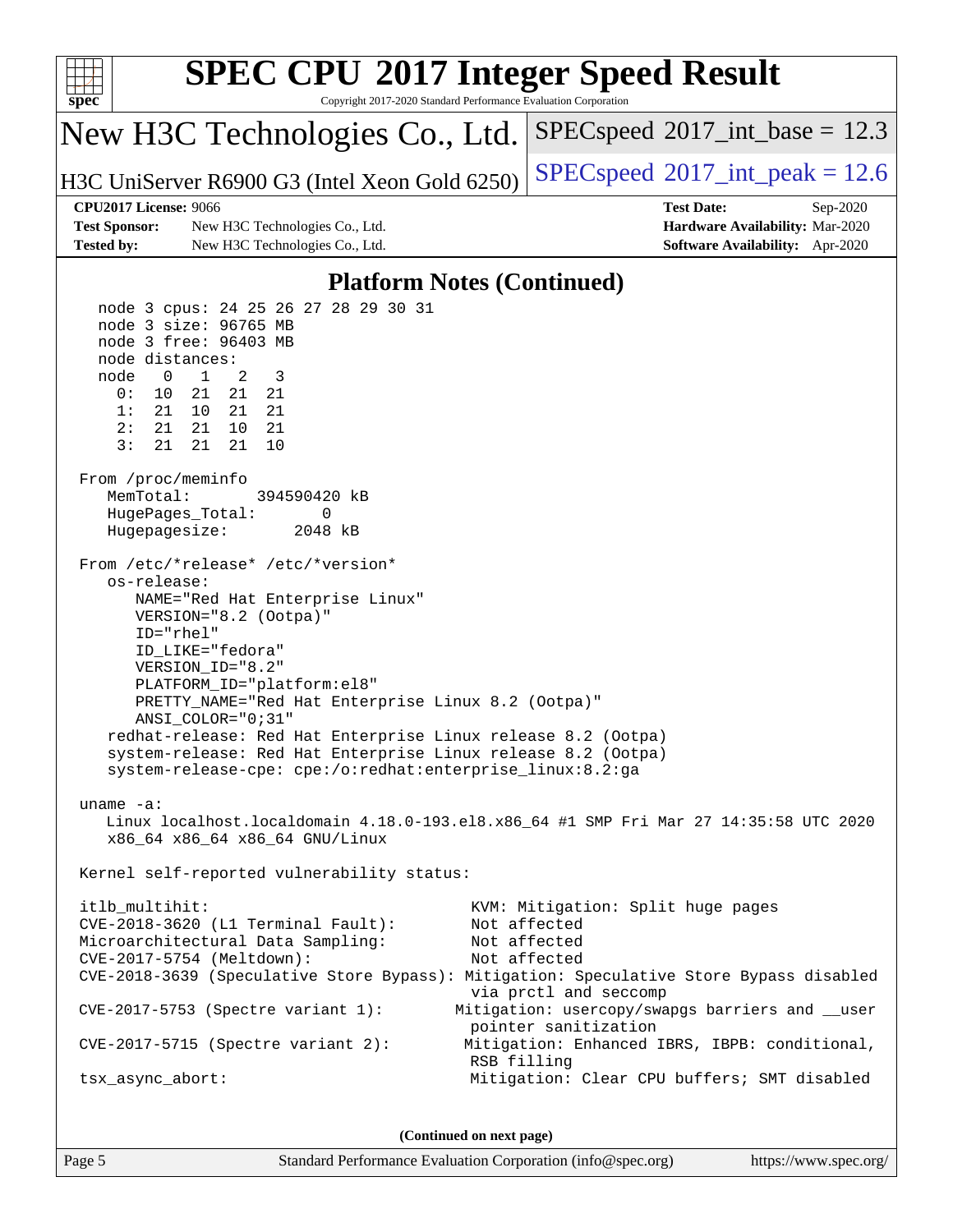

Page 5 Standard Performance Evaluation Corporation [\(info@spec.org\)](mailto:info@spec.org) <https://www.spec.org/>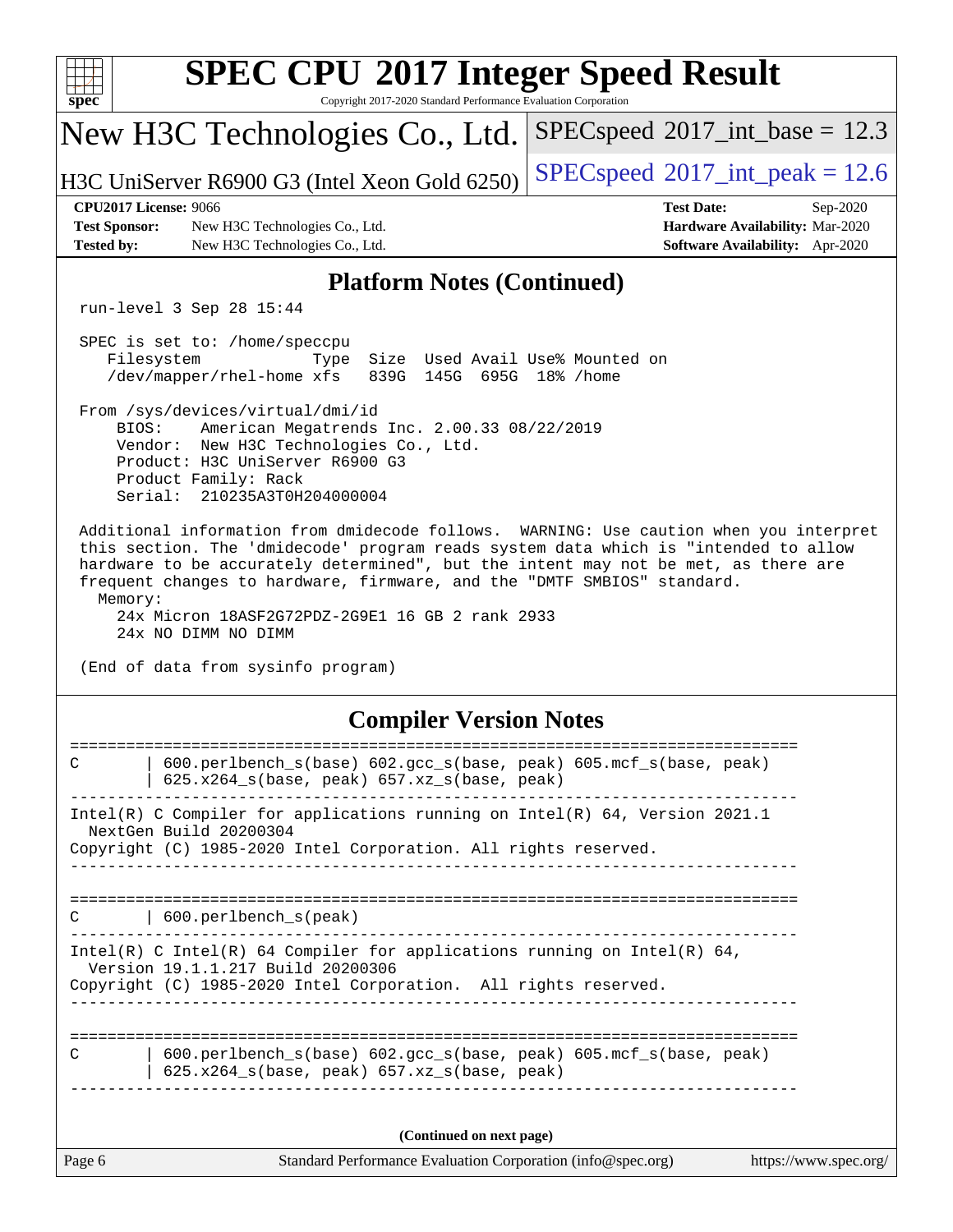| <b>SPEC CPU®2017 Integer Speed Result</b><br>Copyright 2017-2020 Standard Performance Evaluation Corporation<br>$spec^*$                                                                                                                                                                                                                                                                                                            |                                                                                                     |  |  |  |  |  |  |
|-------------------------------------------------------------------------------------------------------------------------------------------------------------------------------------------------------------------------------------------------------------------------------------------------------------------------------------------------------------------------------------------------------------------------------------|-----------------------------------------------------------------------------------------------------|--|--|--|--|--|--|
| New H3C Technologies Co., Ltd.                                                                                                                                                                                                                                                                                                                                                                                                      | $SPEC speed^{\circ}2017\_int\_base = 12.3$                                                          |  |  |  |  |  |  |
| H3C UniServer R6900 G3 (Intel Xeon Gold 6250)                                                                                                                                                                                                                                                                                                                                                                                       | $SPEC speed^{\circ}2017\_int\_peak = 12.6$                                                          |  |  |  |  |  |  |
| <b>CPU2017 License: 9066</b><br><b>Test Sponsor:</b><br>New H3C Technologies Co., Ltd.<br><b>Tested by:</b><br>New H3C Technologies Co., Ltd.                                                                                                                                                                                                                                                                                       | <b>Test Date:</b><br>Sep-2020<br>Hardware Availability: Mar-2020<br>Software Availability: Apr-2020 |  |  |  |  |  |  |
| <b>Platform Notes (Continued)</b>                                                                                                                                                                                                                                                                                                                                                                                                   |                                                                                                     |  |  |  |  |  |  |
| run-level 3 Sep 28 15:44                                                                                                                                                                                                                                                                                                                                                                                                            |                                                                                                     |  |  |  |  |  |  |
| SPEC is set to: /home/speccpu<br>Filesystem<br>Size Used Avail Use% Mounted on<br>Type<br>839G 145G 695G 18% / home<br>/dev/mapper/rhel-home xfs                                                                                                                                                                                                                                                                                    |                                                                                                     |  |  |  |  |  |  |
| From /sys/devices/virtual/dmi/id<br>BIOS:<br>American Megatrends Inc. 2.00.33 08/22/2019<br>Vendor: New H3C Technologies Co., Ltd.<br>Product: H3C UniServer R6900 G3<br>Product Family: Rack<br>Serial: 210235A3T0H204000004                                                                                                                                                                                                       |                                                                                                     |  |  |  |  |  |  |
| Additional information from dmidecode follows. WARNING: Use caution when you interpret<br>this section. The 'dmidecode' program reads system data which is "intended to allow<br>hardware to be accurately determined", but the intent may not be met, as there are<br>frequent changes to hardware, firmware, and the "DMTF SMBIOS" standard.<br>Memory:<br>24x Micron 18ASF2G72PDZ-2G9E1 16 GB 2 rank 2933<br>24x NO DIMM NO DIMM |                                                                                                     |  |  |  |  |  |  |
| (End of data from sysinfo program)<br><b>Compiler Version Notes</b>                                                                                                                                                                                                                                                                                                                                                                 |                                                                                                     |  |  |  |  |  |  |
| $\mathsf{C}$                                                                                                                                                                                                                                                                                                                                                                                                                        |                                                                                                     |  |  |  |  |  |  |
| 600.perlbench_s(base) 602.gcc_s(base, peak) 605.mcf_s(base, peak)<br>625.x264_s(base, peak) 657.xz_s(base, peak)                                                                                                                                                                                                                                                                                                                    |                                                                                                     |  |  |  |  |  |  |
| Intel(R) C Compiler for applications running on Intel(R) 64, Version 2021.1<br>NextGen Build 20200304<br>Copyright (C) 1985-2020 Intel Corporation. All rights reserved.                                                                                                                                                                                                                                                            |                                                                                                     |  |  |  |  |  |  |
|                                                                                                                                                                                                                                                                                                                                                                                                                                     |                                                                                                     |  |  |  |  |  |  |
| 600.perlbench_s(peak)<br>C                                                                                                                                                                                                                                                                                                                                                                                                          |                                                                                                     |  |  |  |  |  |  |
| Intel(R) C Intel(R) 64 Compiler for applications running on Intel(R) 64,<br>Version 19.1.1.217 Build 20200306<br>Copyright (C) 1985-2020 Intel Corporation. All rights reserved.                                                                                                                                                                                                                                                    |                                                                                                     |  |  |  |  |  |  |
| 600.perlbench_s(base) 602.gcc_s(base, peak) 605.mcf_s(base, peak)<br>C<br>$625.x264_s(base, peak)$ $657.xz_s(base, peak)$                                                                                                                                                                                                                                                                                                           |                                                                                                     |  |  |  |  |  |  |
| (Continued on next page)                                                                                                                                                                                                                                                                                                                                                                                                            |                                                                                                     |  |  |  |  |  |  |
| Page 6<br>Standard Performance Evaluation Corporation (info@spec.org)                                                                                                                                                                                                                                                                                                                                                               | https://www.spec.org/                                                                               |  |  |  |  |  |  |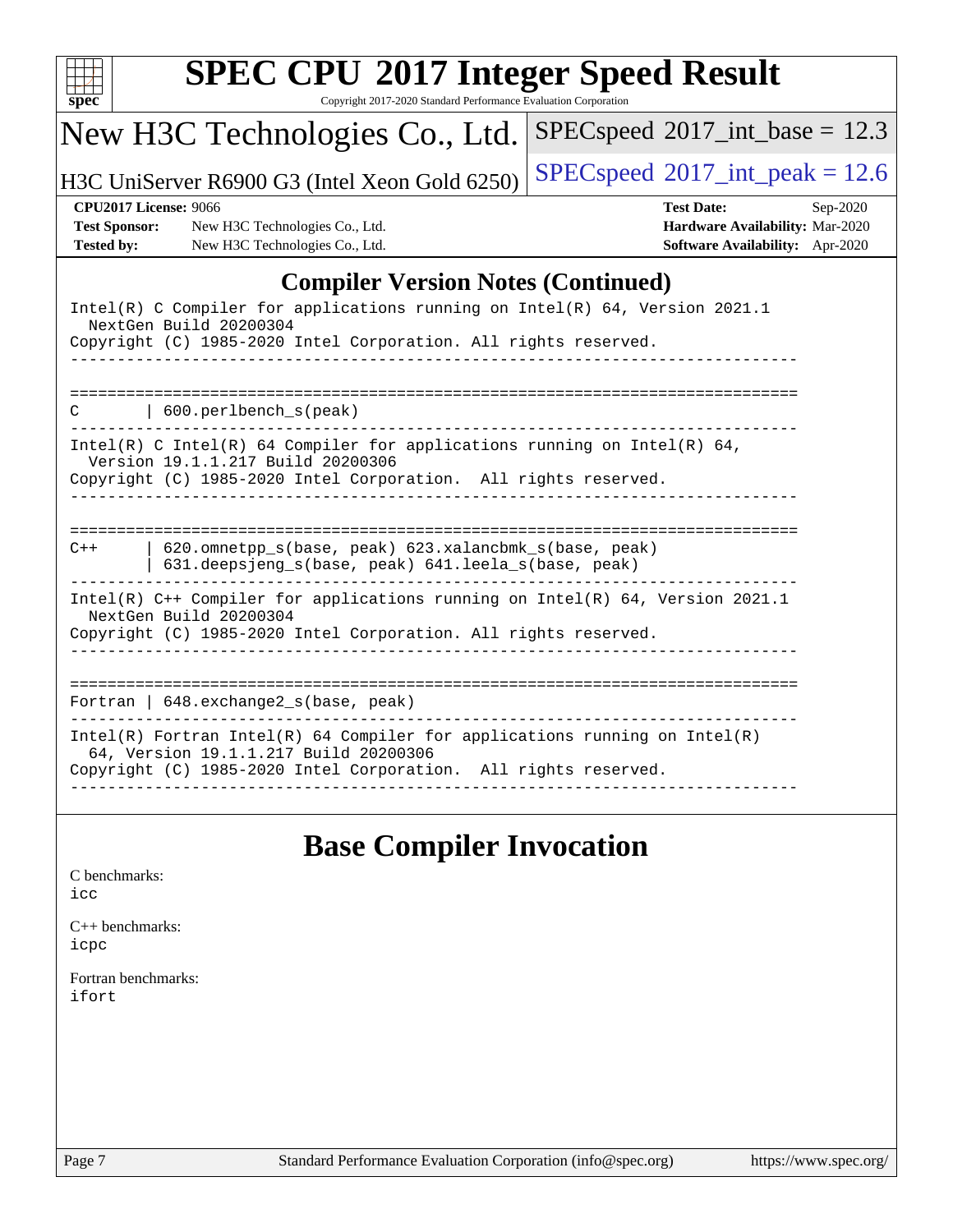| $spec^*$                                                                  | Copyright 2017-2020 Standard Performance Evaluation Corporation<br>New H3C Technologies Co., Ltd.            | $SPEC speed^{\circ}2017\_int\_base = 12.3$                                                                   |
|---------------------------------------------------------------------------|--------------------------------------------------------------------------------------------------------------|--------------------------------------------------------------------------------------------------------------|
|                                                                           | H3C UniServer R6900 G3 (Intel Xeon Gold 6250)                                                                | $SPEC speed^{\circ}2017\_int\_peak = 12.6$                                                                   |
| <b>CPU2017 License: 9066</b><br><b>Test Sponsor:</b><br><b>Tested by:</b> | New H3C Technologies Co., Ltd.<br>New H3C Technologies Co., Ltd.                                             | <b>Test Date:</b><br>$Sep-2020$<br>Hardware Availability: Mar-2020<br><b>Software Availability:</b> Apr-2020 |
|                                                                           | <b>Compiler Version Notes (Continued)</b>                                                                    |                                                                                                              |
| NextGen Build 20200304                                                    | Copyright (C) 1985-2020 Intel Corporation. All rights reserved.                                              | Intel(R) C Compiler for applications running on Intel(R) 64, Version 2021.1                                  |
| $\vert$ 600. perlbench s(peak)                                            |                                                                                                              |                                                                                                              |
| Version 19.1.1.217 Build 20200306                                         | Copyright (C) 1985-2020 Intel Corporation. All rights reserved.                                              | $Intel(R)$ C Intel(R) 64 Compiler for applications running on Intel(R) 64,                                   |
| $C++$                                                                     | 620.omnetpp_s(base, peak) 623.xalancbmk_s(base, peak)<br>631.deepsjeng_s(base, peak) 641.leela_s(base, peak) |                                                                                                              |
| NextGen Build 20200304                                                    | Copyright (C) 1985-2020 Intel Corporation. All rights reserved.                                              | Intel(R) C++ Compiler for applications running on Intel(R) 64, Version 2021.1                                |
| Fortran   648. exchange2_s(base, peak)                                    |                                                                                                              |                                                                                                              |
| 64, Version 19.1.1.217 Build 20200306                                     | Copyright (C) 1985-2020 Intel Corporation. All rights reserved.                                              | $Intel(R)$ Fortran Intel(R) 64 Compiler for applications running on Intel(R)                                 |

## **[Base Compiler Invocation](http://www.spec.org/auto/cpu2017/Docs/result-fields.html#BaseCompilerInvocation)**

| C benchmarks: |
|---------------|
| icc           |

[C++ benchmarks:](http://www.spec.org/auto/cpu2017/Docs/result-fields.html#CXXbenchmarks) [icpc](http://www.spec.org/cpu2017/results/res2020q4/cpu2017-20201014-24205.flags.html#user_CXXbase_intel_icpc_c510b6838c7f56d33e37e94d029a35b4a7bccf4766a728ee175e80a419847e808290a9b78be685c44ab727ea267ec2f070ec5dc83b407c0218cded6866a35d07)

[Fortran benchmarks](http://www.spec.org/auto/cpu2017/Docs/result-fields.html#Fortranbenchmarks): [ifort](http://www.spec.org/cpu2017/results/res2020q4/cpu2017-20201014-24205.flags.html#user_FCbase_intel_ifort_8111460550e3ca792625aed983ce982f94888b8b503583aa7ba2b8303487b4d8a21a13e7191a45c5fd58ff318f48f9492884d4413fa793fd88dd292cad7027ca)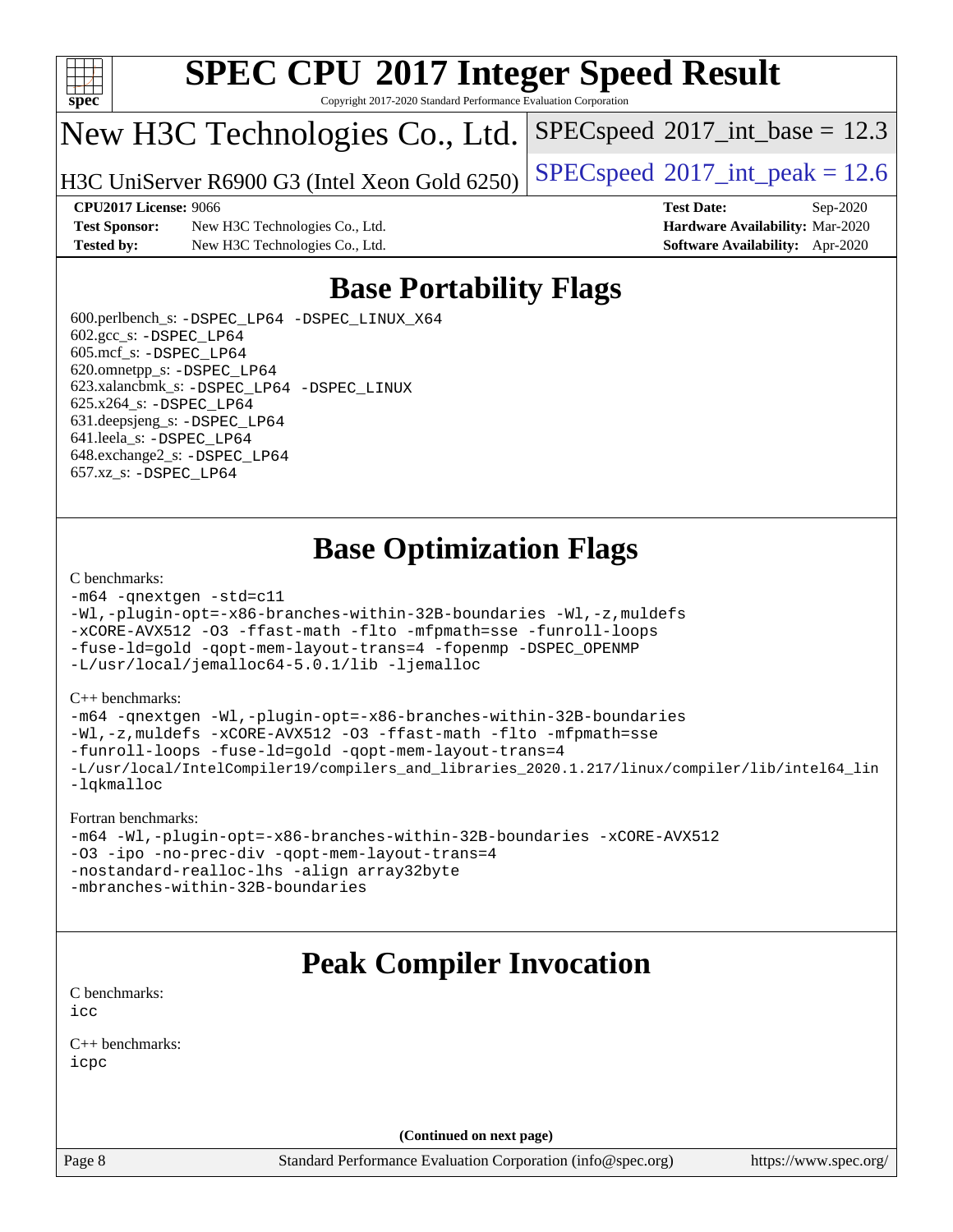

Copyright 2017-2020 Standard Performance Evaluation Corporation

## New H3C Technologies Co., Ltd.

H3C UniServer R6900 G3 (Intel Xeon Gold 6250) [SPECspeed](http://www.spec.org/auto/cpu2017/Docs/result-fields.html#SPECspeed2017intpeak)®[2017\\_int\\_peak = 1](http://www.spec.org/auto/cpu2017/Docs/result-fields.html#SPECspeed2017intpeak)2.6

 $SPECspeed^{\circ}2017\_int\_base = 12.3$  $SPECspeed^{\circ}2017\_int\_base = 12.3$ 

### **[CPU2017 License:](http://www.spec.org/auto/cpu2017/Docs/result-fields.html#CPU2017License)** 9066 **[Test Date:](http://www.spec.org/auto/cpu2017/Docs/result-fields.html#TestDate)** Sep-2020

**[Test Sponsor:](http://www.spec.org/auto/cpu2017/Docs/result-fields.html#TestSponsor)** New H3C Technologies Co., Ltd. **[Hardware Availability:](http://www.spec.org/auto/cpu2017/Docs/result-fields.html#HardwareAvailability)** Mar-2020 **[Tested by:](http://www.spec.org/auto/cpu2017/Docs/result-fields.html#Testedby)** New H3C Technologies Co., Ltd. **[Software Availability:](http://www.spec.org/auto/cpu2017/Docs/result-fields.html#SoftwareAvailability)** Apr-2020

## **[Base Portability Flags](http://www.spec.org/auto/cpu2017/Docs/result-fields.html#BasePortabilityFlags)**

 600.perlbench\_s: [-DSPEC\\_LP64](http://www.spec.org/cpu2017/results/res2020q4/cpu2017-20201014-24205.flags.html#b600.perlbench_s_basePORTABILITY_DSPEC_LP64) [-DSPEC\\_LINUX\\_X64](http://www.spec.org/cpu2017/results/res2020q4/cpu2017-20201014-24205.flags.html#b600.perlbench_s_baseCPORTABILITY_DSPEC_LINUX_X64) 602.gcc\_s: [-DSPEC\\_LP64](http://www.spec.org/cpu2017/results/res2020q4/cpu2017-20201014-24205.flags.html#suite_basePORTABILITY602_gcc_s_DSPEC_LP64) 605.mcf\_s: [-DSPEC\\_LP64](http://www.spec.org/cpu2017/results/res2020q4/cpu2017-20201014-24205.flags.html#suite_basePORTABILITY605_mcf_s_DSPEC_LP64) 620.omnetpp\_s: [-DSPEC\\_LP64](http://www.spec.org/cpu2017/results/res2020q4/cpu2017-20201014-24205.flags.html#suite_basePORTABILITY620_omnetpp_s_DSPEC_LP64) 623.xalancbmk\_s: [-DSPEC\\_LP64](http://www.spec.org/cpu2017/results/res2020q4/cpu2017-20201014-24205.flags.html#suite_basePORTABILITY623_xalancbmk_s_DSPEC_LP64) [-DSPEC\\_LINUX](http://www.spec.org/cpu2017/results/res2020q4/cpu2017-20201014-24205.flags.html#b623.xalancbmk_s_baseCXXPORTABILITY_DSPEC_LINUX) 625.x264\_s: [-DSPEC\\_LP64](http://www.spec.org/cpu2017/results/res2020q4/cpu2017-20201014-24205.flags.html#suite_basePORTABILITY625_x264_s_DSPEC_LP64) 631.deepsjeng\_s: [-DSPEC\\_LP64](http://www.spec.org/cpu2017/results/res2020q4/cpu2017-20201014-24205.flags.html#suite_basePORTABILITY631_deepsjeng_s_DSPEC_LP64) 641.leela\_s: [-DSPEC\\_LP64](http://www.spec.org/cpu2017/results/res2020q4/cpu2017-20201014-24205.flags.html#suite_basePORTABILITY641_leela_s_DSPEC_LP64) 648.exchange2\_s: [-DSPEC\\_LP64](http://www.spec.org/cpu2017/results/res2020q4/cpu2017-20201014-24205.flags.html#suite_basePORTABILITY648_exchange2_s_DSPEC_LP64) 657.xz\_s: [-DSPEC\\_LP64](http://www.spec.org/cpu2017/results/res2020q4/cpu2017-20201014-24205.flags.html#suite_basePORTABILITY657_xz_s_DSPEC_LP64)

## **[Base Optimization Flags](http://www.spec.org/auto/cpu2017/Docs/result-fields.html#BaseOptimizationFlags)**

### [C benchmarks](http://www.spec.org/auto/cpu2017/Docs/result-fields.html#Cbenchmarks):

```
-m64 -qnextgen -std=c11
-Wl,-plugin-opt=-x86-branches-within-32B-boundaries -Wl,-z,muldefs
-xCORE-AVX512 -O3 -ffast-math -flto -mfpmath=sse -funroll-loops
-fuse-ld=gold -qopt-mem-layout-trans=4 -fopenmp -DSPEC_OPENMP
-L/usr/local/jemalloc64-5.0.1/lib -ljemalloc
```
### [C++ benchmarks:](http://www.spec.org/auto/cpu2017/Docs/result-fields.html#CXXbenchmarks)

```
-m64 -qnextgen -Wl,-plugin-opt=-x86-branches-within-32B-boundaries
-Wl,-z,muldefs -xCORE-AVX512 -O3 -ffast-math -flto -mfpmath=sse
-funroll-loops -fuse-ld=gold -qopt-mem-layout-trans=4
-L/usr/local/IntelCompiler19/compilers_and_libraries_2020.1.217/linux/compiler/lib/intel64_lin
-lqkmalloc
```
### [Fortran benchmarks:](http://www.spec.org/auto/cpu2017/Docs/result-fields.html#Fortranbenchmarks)

```
-m64 -Wl,-plugin-opt=-x86-branches-within-32B-boundaries -xCORE-AVX512
-O3 -ipo -no-prec-div -qopt-mem-layout-trans=4
-nostandard-realloc-lhs -align array32byte
-mbranches-within-32B-boundaries
```
## **[Peak Compiler Invocation](http://www.spec.org/auto/cpu2017/Docs/result-fields.html#PeakCompilerInvocation)**

[C benchmarks](http://www.spec.org/auto/cpu2017/Docs/result-fields.html#Cbenchmarks): [icc](http://www.spec.org/cpu2017/results/res2020q4/cpu2017-20201014-24205.flags.html#user_CCpeak_intel_icc_66fc1ee009f7361af1fbd72ca7dcefbb700085f36577c54f309893dd4ec40d12360134090235512931783d35fd58c0460139e722d5067c5574d8eaf2b3e37e92)

[C++ benchmarks:](http://www.spec.org/auto/cpu2017/Docs/result-fields.html#CXXbenchmarks) [icpc](http://www.spec.org/cpu2017/results/res2020q4/cpu2017-20201014-24205.flags.html#user_CXXpeak_intel_icpc_c510b6838c7f56d33e37e94d029a35b4a7bccf4766a728ee175e80a419847e808290a9b78be685c44ab727ea267ec2f070ec5dc83b407c0218cded6866a35d07)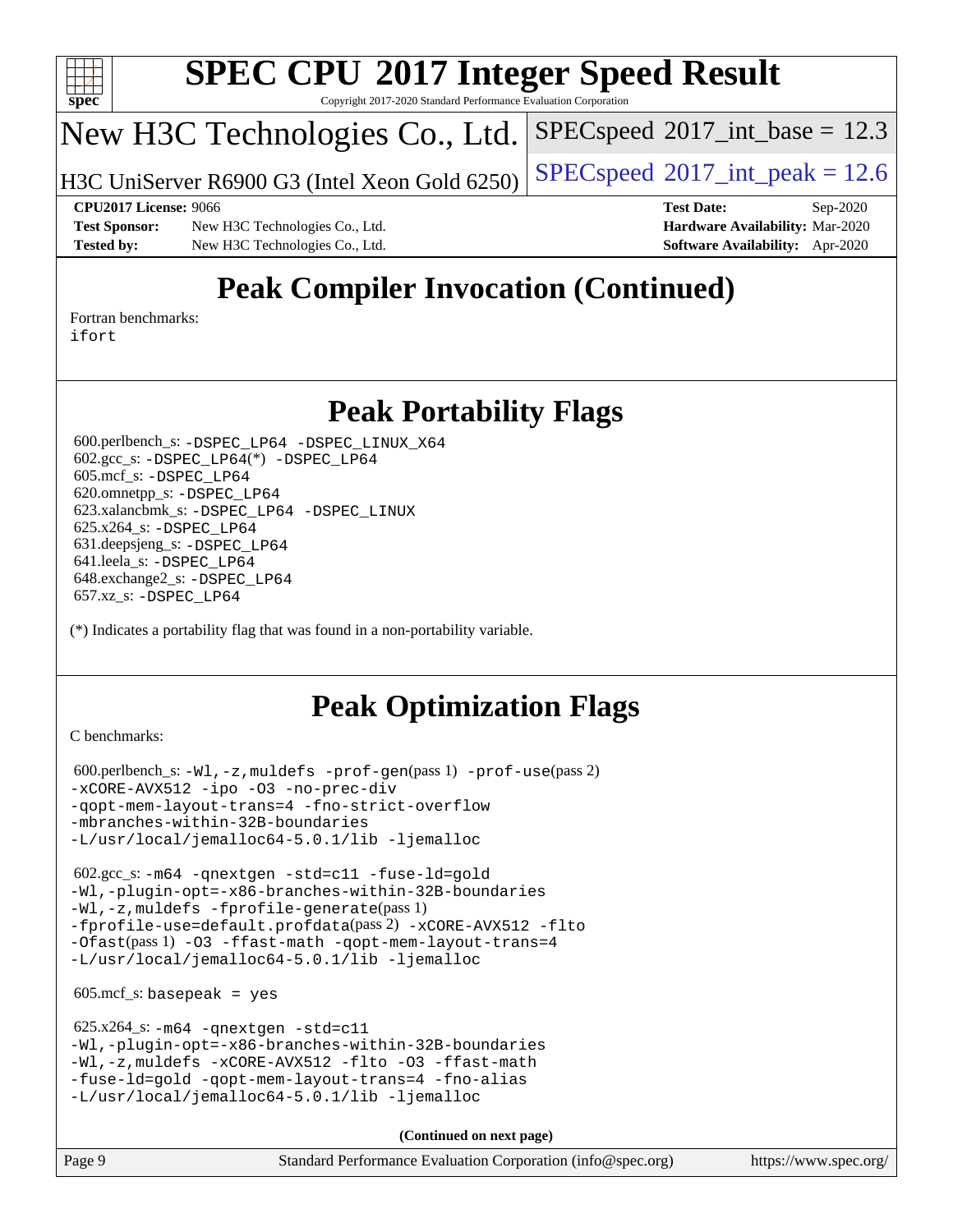

Copyright 2017-2020 Standard Performance Evaluation Corporation

## New H3C Technologies Co., Ltd.

H3C UniServer R6900 G3 (Intel Xeon Gold 6250) [SPECspeed](http://www.spec.org/auto/cpu2017/Docs/result-fields.html#SPECspeed2017intpeak)®[2017\\_int\\_peak = 1](http://www.spec.org/auto/cpu2017/Docs/result-fields.html#SPECspeed2017intpeak)2.6

 $SPECspeed^{\circledcirc}2017\_int\_base = 12.3$  $SPECspeed^{\circledcirc}2017\_int\_base = 12.3$ 

**[Test Sponsor:](http://www.spec.org/auto/cpu2017/Docs/result-fields.html#TestSponsor)** New H3C Technologies Co., Ltd. **[Hardware Availability:](http://www.spec.org/auto/cpu2017/Docs/result-fields.html#HardwareAvailability)** Mar-2020 **[Tested by:](http://www.spec.org/auto/cpu2017/Docs/result-fields.html#Testedby)** New H3C Technologies Co., Ltd. **[Software Availability:](http://www.spec.org/auto/cpu2017/Docs/result-fields.html#SoftwareAvailability)** Apr-2020

**[CPU2017 License:](http://www.spec.org/auto/cpu2017/Docs/result-fields.html#CPU2017License)** 9066 **[Test Date:](http://www.spec.org/auto/cpu2017/Docs/result-fields.html#TestDate)** Sep-2020

## **[Peak Compiler Invocation \(Continued\)](http://www.spec.org/auto/cpu2017/Docs/result-fields.html#PeakCompilerInvocation)**

[Fortran benchmarks](http://www.spec.org/auto/cpu2017/Docs/result-fields.html#Fortranbenchmarks): [ifort](http://www.spec.org/cpu2017/results/res2020q4/cpu2017-20201014-24205.flags.html#user_FCpeak_intel_ifort_8111460550e3ca792625aed983ce982f94888b8b503583aa7ba2b8303487b4d8a21a13e7191a45c5fd58ff318f48f9492884d4413fa793fd88dd292cad7027ca)

## **[Peak Portability Flags](http://www.spec.org/auto/cpu2017/Docs/result-fields.html#PeakPortabilityFlags)**

 600.perlbench\_s: [-DSPEC\\_LP64](http://www.spec.org/cpu2017/results/res2020q4/cpu2017-20201014-24205.flags.html#b600.perlbench_s_peakPORTABILITY_DSPEC_LP64) [-DSPEC\\_LINUX\\_X64](http://www.spec.org/cpu2017/results/res2020q4/cpu2017-20201014-24205.flags.html#b600.perlbench_s_peakCPORTABILITY_DSPEC_LINUX_X64) 602.gcc\_s: [-DSPEC\\_LP64](http://www.spec.org/cpu2017/results/res2020q4/cpu2017-20201014-24205.flags.html#suite_peakCCLD602_gcc_s_DSPEC_LP64)(\*) [-DSPEC\\_LP64](http://www.spec.org/cpu2017/results/res2020q4/cpu2017-20201014-24205.flags.html#suite_peakPORTABILITY602_gcc_s_DSPEC_LP64) 605.mcf\_s: [-DSPEC\\_LP64](http://www.spec.org/cpu2017/results/res2020q4/cpu2017-20201014-24205.flags.html#suite_peakPORTABILITY605_mcf_s_DSPEC_LP64) 620.omnetpp\_s: [-DSPEC\\_LP64](http://www.spec.org/cpu2017/results/res2020q4/cpu2017-20201014-24205.flags.html#suite_peakPORTABILITY620_omnetpp_s_DSPEC_LP64) 623.xalancbmk\_s: [-DSPEC\\_LP64](http://www.spec.org/cpu2017/results/res2020q4/cpu2017-20201014-24205.flags.html#suite_peakPORTABILITY623_xalancbmk_s_DSPEC_LP64) [-DSPEC\\_LINUX](http://www.spec.org/cpu2017/results/res2020q4/cpu2017-20201014-24205.flags.html#b623.xalancbmk_s_peakCXXPORTABILITY_DSPEC_LINUX) 625.x264\_s: [-DSPEC\\_LP64](http://www.spec.org/cpu2017/results/res2020q4/cpu2017-20201014-24205.flags.html#suite_peakPORTABILITY625_x264_s_DSPEC_LP64) 631.deepsjeng\_s: [-DSPEC\\_LP64](http://www.spec.org/cpu2017/results/res2020q4/cpu2017-20201014-24205.flags.html#suite_peakPORTABILITY631_deepsjeng_s_DSPEC_LP64) 641.leela\_s: [-DSPEC\\_LP64](http://www.spec.org/cpu2017/results/res2020q4/cpu2017-20201014-24205.flags.html#suite_peakPORTABILITY641_leela_s_DSPEC_LP64) 648.exchange2\_s: [-DSPEC\\_LP64](http://www.spec.org/cpu2017/results/res2020q4/cpu2017-20201014-24205.flags.html#suite_peakPORTABILITY648_exchange2_s_DSPEC_LP64) 657.xz\_s: [-DSPEC\\_LP64](http://www.spec.org/cpu2017/results/res2020q4/cpu2017-20201014-24205.flags.html#suite_peakPORTABILITY657_xz_s_DSPEC_LP64)

(\*) Indicates a portability flag that was found in a non-portability variable.

## **[Peak Optimization Flags](http://www.spec.org/auto/cpu2017/Docs/result-fields.html#PeakOptimizationFlags)**

[C benchmarks](http://www.spec.org/auto/cpu2017/Docs/result-fields.html#Cbenchmarks):

```
 600.perlbench_s: -Wl,-z,muldefs -prof-gen(pass 1) -prof-use(pass 2)
-xCORE-AVX512 -ipo -O3 -no-prec-div
-qopt-mem-layout-trans=4 -fno-strict-overflow
-mbranches-within-32B-boundaries
-L/usr/local/jemalloc64-5.0.1/lib -ljemalloc
```
 602.gcc\_s: [-m64](http://www.spec.org/cpu2017/results/res2020q4/cpu2017-20201014-24205.flags.html#user_peakCCLD602_gcc_s_m64-icc) [-qnextgen](http://www.spec.org/cpu2017/results/res2020q4/cpu2017-20201014-24205.flags.html#user_peakCCLD602_gcc_s_f-qnextgen) [-std=c11](http://www.spec.org/cpu2017/results/res2020q4/cpu2017-20201014-24205.flags.html#user_peakCCLD602_gcc_s_std-icc-std_0e1c27790398a4642dfca32ffe6c27b5796f9c2d2676156f2e42c9c44eaad0c049b1cdb667a270c34d979996257aeb8fc440bfb01818dbc9357bd9d174cb8524) [-fuse-ld=gold](http://www.spec.org/cpu2017/results/res2020q4/cpu2017-20201014-24205.flags.html#user_peakCCLD602_gcc_s_f-fuse-ld_920b3586e2b8c6e0748b9c84fa9b744736ba725a32cab14ad8f3d4ad28eecb2f59d1144823d2e17006539a88734fe1fc08fc3035f7676166309105a78aaabc32) [-Wl,-plugin-opt=-x86-branches-within-32B-boundaries](http://www.spec.org/cpu2017/results/res2020q4/cpu2017-20201014-24205.flags.html#user_peakLDFLAGS602_gcc_s_f-x86-branches-within-32B-boundaries_0098b4e4317ae60947b7b728078a624952a08ac37a3c797dfb4ffeb399e0c61a9dd0f2f44ce917e9361fb9076ccb15e7824594512dd315205382d84209e912f3) [-Wl,-z,muldefs](http://www.spec.org/cpu2017/results/res2020q4/cpu2017-20201014-24205.flags.html#user_peakEXTRA_LDFLAGS602_gcc_s_link_force_multiple1_b4cbdb97b34bdee9ceefcfe54f4c8ea74255f0b02a4b23e853cdb0e18eb4525ac79b5a88067c842dd0ee6996c24547a27a4b99331201badda8798ef8a743f577) [-fprofile-generate](http://www.spec.org/cpu2017/results/res2020q4/cpu2017-20201014-24205.flags.html#user_peakPASS1_CFLAGSPASS1_LDFLAGS602_gcc_s_fprofile-generate)(pass 1) [-fprofile-use=default.profdata](http://www.spec.org/cpu2017/results/res2020q4/cpu2017-20201014-24205.flags.html#user_peakPASS2_CFLAGSPASS2_LDFLAGS602_gcc_s_fprofile-use_56aeee182b92ec249f9670f17c9b8e7d83fe2d25538e35a2cf64c434b579a2235a8b8fc66ef5678d24461366bbab9d486c870d8a72905233fc08e43eefe3cd80)(pass 2) [-xCORE-AVX512](http://www.spec.org/cpu2017/results/res2020q4/cpu2017-20201014-24205.flags.html#user_peakCOPTIMIZEPASS1_CFLAGSPASS1_LDFLAGS602_gcc_s_f-xCORE-AVX512) [-flto](http://www.spec.org/cpu2017/results/res2020q4/cpu2017-20201014-24205.flags.html#user_peakCOPTIMIZEPASS1_CFLAGSPASS1_LDFLAGS602_gcc_s_f-flto) [-Ofast](http://www.spec.org/cpu2017/results/res2020q4/cpu2017-20201014-24205.flags.html#user_peakPASS1_CFLAGSPASS1_LDFLAGS602_gcc_s_f-Ofast)(pass 1) [-O3](http://www.spec.org/cpu2017/results/res2020q4/cpu2017-20201014-24205.flags.html#user_peakCOPTIMIZE602_gcc_s_f-O3) [-ffast-math](http://www.spec.org/cpu2017/results/res2020q4/cpu2017-20201014-24205.flags.html#user_peakCOPTIMIZE602_gcc_s_f-ffast-math) [-qopt-mem-layout-trans=4](http://www.spec.org/cpu2017/results/res2020q4/cpu2017-20201014-24205.flags.html#user_peakCOPTIMIZE602_gcc_s_f-qopt-mem-layout-trans_fa39e755916c150a61361b7846f310bcdf6f04e385ef281cadf3647acec3f0ae266d1a1d22d972a7087a248fd4e6ca390a3634700869573d231a252c784941a8) [-L/usr/local/jemalloc64-5.0.1/lib](http://www.spec.org/cpu2017/results/res2020q4/cpu2017-20201014-24205.flags.html#user_peakEXTRA_LIBS602_gcc_s_jemalloc_link_path64_1_cc289568b1a6c0fd3b62c91b824c27fcb5af5e8098e6ad028160d21144ef1b8aef3170d2acf0bee98a8da324cfe4f67d0a3d0c4cc4673d993d694dc2a0df248b) [-ljemalloc](http://www.spec.org/cpu2017/results/res2020q4/cpu2017-20201014-24205.flags.html#user_peakEXTRA_LIBS602_gcc_s_jemalloc_link_lib_d1249b907c500fa1c0672f44f562e3d0f79738ae9e3c4a9c376d49f265a04b9c99b167ecedbf6711b3085be911c67ff61f150a17b3472be731631ba4d0471706)

 $605.\text{mcf}\text{ s}:$  basepeak = yes

```
 625.x264_s: -m64 -qnextgen -std=c11
-Wl,-plugin-opt=-x86-branches-within-32B-boundaries
-Wl,-z,muldefs -xCORE-AVX512 -flto -O3 -ffast-math
-fuse-ld=gold -qopt-mem-layout-trans=4 -fno-alias
-L/usr/local/jemalloc64-5.0.1/lib -ljemalloc
```